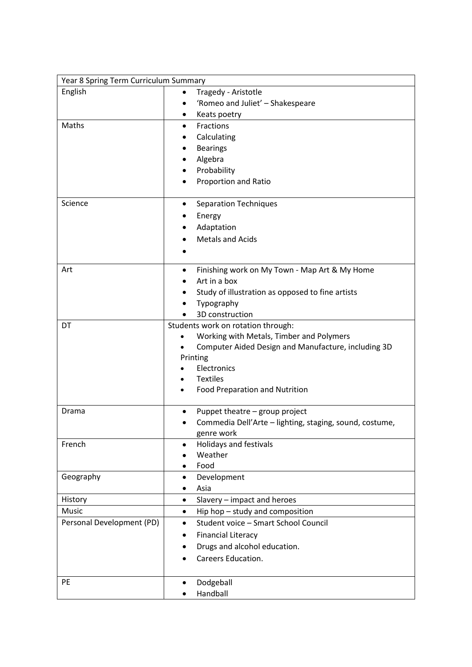| Year 8 Spring Term Curriculum Summary |                                                         |
|---------------------------------------|---------------------------------------------------------|
| English                               | Tragedy - Aristotle                                     |
|                                       | 'Romeo and Juliet' - Shakespeare                        |
|                                       | Keats poetry                                            |
| Maths                                 | Fractions<br>$\bullet$                                  |
|                                       | Calculating                                             |
|                                       | <b>Bearings</b>                                         |
|                                       | Algebra                                                 |
|                                       | Probability                                             |
|                                       | Proportion and Ratio                                    |
|                                       |                                                         |
| Science                               | <b>Separation Techniques</b>                            |
|                                       | Energy                                                  |
|                                       | Adaptation                                              |
|                                       | <b>Metals and Acids</b>                                 |
|                                       |                                                         |
|                                       |                                                         |
| Art                                   | Finishing work on My Town - Map Art & My Home           |
|                                       | Art in a box                                            |
|                                       | Study of illustration as opposed to fine artists        |
|                                       | Typography                                              |
|                                       | 3D construction                                         |
| DT                                    | Students work on rotation through:                      |
|                                       | Working with Metals, Timber and Polymers                |
|                                       | Computer Aided Design and Manufacture, including 3D     |
|                                       | Printing                                                |
|                                       | Electronics                                             |
|                                       | <b>Textiles</b>                                         |
|                                       | <b>Food Preparation and Nutrition</b>                   |
| Drama                                 | Puppet theatre - group project                          |
|                                       | Commedia Dell'Arte - lighting, staging, sound, costume, |
|                                       | genre work                                              |
| French                                | Holidays and festivals                                  |
|                                       | Weather                                                 |
|                                       | Food                                                    |
| Geography                             | Development<br>٠                                        |
|                                       | Asia                                                    |
| History                               | Slavery - impact and heroes<br>$\bullet$                |
| Music                                 | Hip hop - study and composition<br>$\bullet$            |
| Personal Development (PD)             | Student voice - Smart School Council<br>٠               |
|                                       | <b>Financial Literacy</b>                               |
|                                       | Drugs and alcohol education.                            |
|                                       | Careers Education.                                      |
|                                       |                                                         |
| PE                                    |                                                         |
|                                       | Dodgeball                                               |
|                                       | Handball                                                |